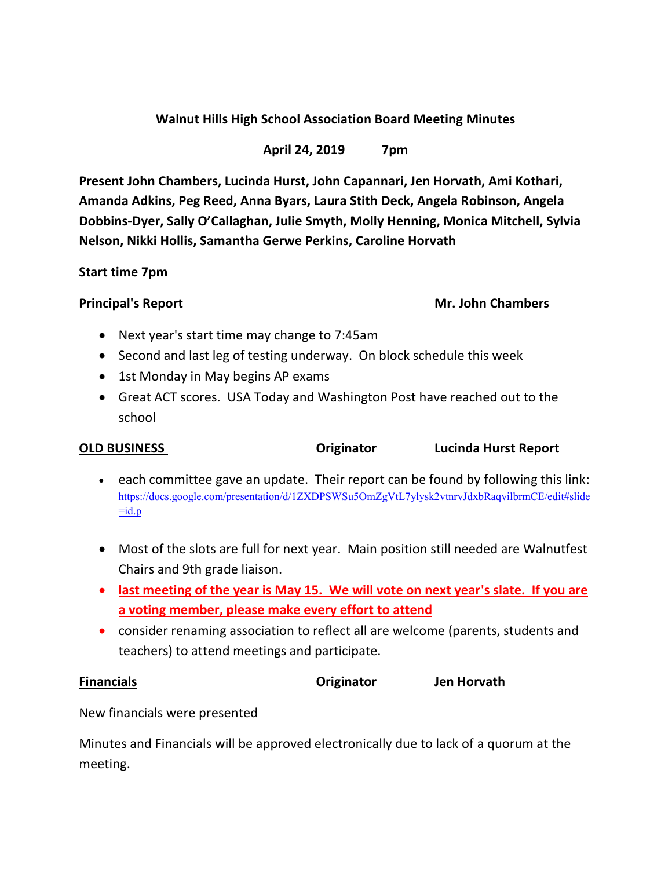# **Walnut Hills High School Association Board Meeting Minutes**

## **April 24, 2019 7pm**

**Present John Chambers, Lucinda Hurst, John Capannari, Jen Horvath, Ami Kothari, Amanda Adkins, Peg Reed, Anna Byars, Laura Stith Deck, Angela Robinson, Angela Dobbins-Dyer, Sally O'Callaghan, Julie Smyth, Molly Henning, Monica Mitchell, Sylvia Nelson, Nikki Hollis, Samantha Gerwe Perkins, Caroline Horvath**

### **Start time 7pm**

## **Principal's Report Mr. John Chambers**

- Next year's start time may change to 7:45am
- Second and last leg of testing underway. On block schedule this week
- 1st Monday in May begins AP exams
- Great ACT scores. USA Today and Washington Post have reached out to the school

### **OLD BUSINESS Originator Lucinda Hurst Report**

- each committee gave an update. Their report can be found by following this link: [https://docs.google.com/presentation/d/1ZXDPSWSu5OmZgVtL7ylysk2vtnrvJdxbRaqvilbrmCE/edit#slide](https://docs.google.com/presentation/d/1ZXDPSWSu5OmZgVtL7ylysk2vtnrvJdxbRaqvilbrmCE/edit#slide=id.p)  $=$ id.p
- Most of the slots are full for next year. Main position still needed are Walnutfest Chairs and 9th grade liaison.
- **last meeting of the year is May 15. We will vote on next year's slate. If you are a voting member, please make every effort to attend**
- consider renaming association to reflect all are welcome (parents, students and teachers) to attend meetings and participate.

**Financials Originator Jen Horvath**

New financials were presented

Minutes and Financials will be approved electronically due to lack of a quorum at the meeting.